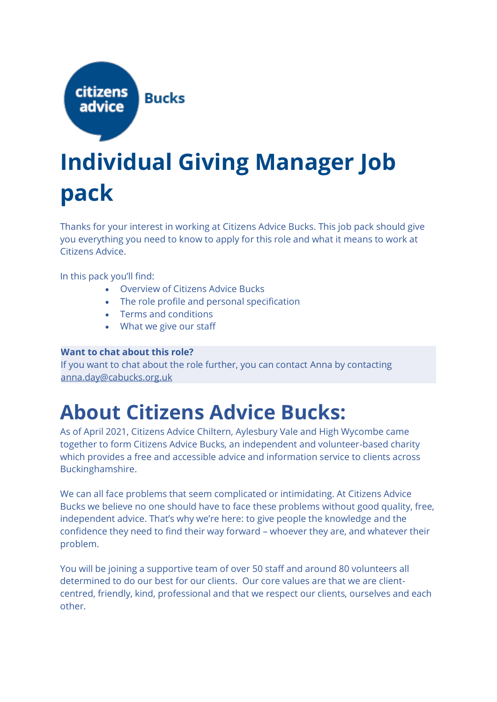

### **Individual Giving Manager Job pack**

Thanks for your interest in working at Citizens Advice Bucks. This job pack should give you everything you need to know to apply for this role and what it means to work at Citizens Advice.

In this pack you'll find:

- Overview of Citizens Advice Bucks
- The role profile and personal specification
- Terms and conditions
- What we give our staff

#### **Want to chat about this role?**

If you want to chat about the role further, you can contact Anna by contacting [anna.day@cabucks.org.uk](mailto:anna.day@cabucks.org.uk) 

### **About Citizens Advice Bucks:**

As of April 2021, Citizens Advice Chiltern, Aylesbury Vale and High Wycombe came together to form Citizens Advice Bucks, an independent and volunteer-based charity which provides a free and accessible advice and information service to clients across Buckinghamshire.

We can all face problems that seem complicated or intimidating. At Citizens Advice Bucks we believe no one should have to face these problems without good quality, free, independent advice. That's why we're here: to give people the knowledge and the confidence they need to find their way forward – whoever they are, and whatever their problem.

You will be joining a supportive team of over 50 staff and around 80 volunteers all determined to do our best for our clients. Our core values are that we are clientcentred, friendly, kind, professional and that we respect our clients, ourselves and each other.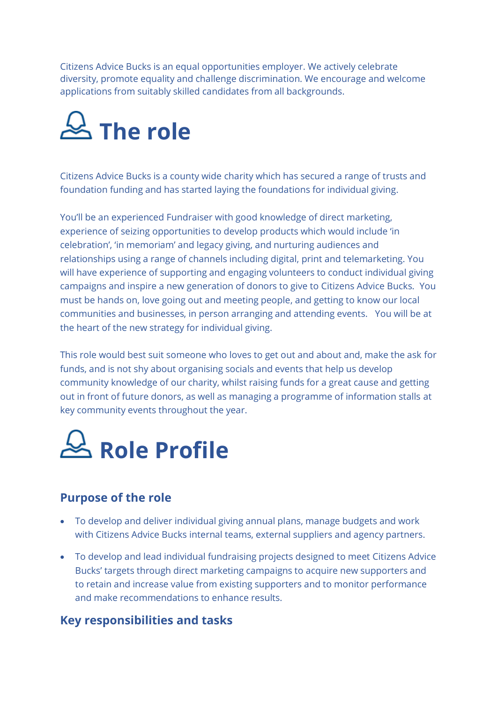Citizens Advice Bucks is an equal opportunities employer. We actively celebrate diversity, promote equality and challenge discrimination. We encourage and welcome applications from suitably skilled candidates from all backgrounds.



Citizens Advice Bucks is a county wide charity which has secured a range of trusts and foundation funding and has started laying the foundations for individual giving.

You'll be an experienced Fundraiser with good knowledge of direct marketing, experience of seizing opportunities to develop products which would include 'in celebration', 'in memoriam' and legacy giving, and nurturing audiences and relationships using a range of channels including digital, print and telemarketing. You will have experience of supporting and engaging volunteers to conduct individual giving campaigns and inspire a new generation of donors to give to Citizens Advice Bucks. You must be hands on, love going out and meeting people, and getting to know our local communities and businesses, in person arranging and attending events. You will be at the heart of the new strategy for individual giving.

This role would best suit someone who loves to get out and about and, make the ask for funds, and is not shy about organising socials and events that help us develop community knowledge of our charity, whilst raising funds for a great cause and getting out in front of future donors, as well as managing a programme of information stalls at key community events throughout the year.



#### **Purpose of the role**

- To develop and deliver individual giving annual plans, manage budgets and work with Citizens Advice Bucks internal teams, external suppliers and agency partners.
- To develop and lead individual fundraising projects designed to meet Citizens Advice Bucks' targets through direct marketing campaigns to acquire new supporters and to retain and increase value from existing supporters and to monitor performance and make recommendations to enhance results.

#### **Key responsibilities and tasks**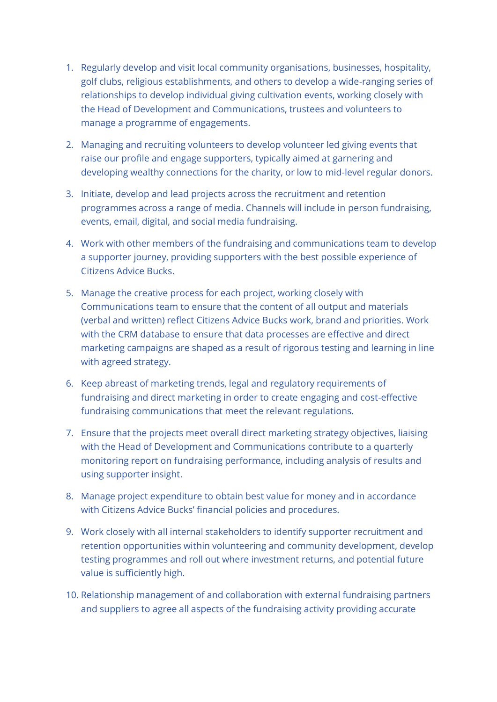- 1. Regularly develop and visit local community organisations, businesses, hospitality, golf clubs, religious establishments, and others to develop a wide-ranging series of relationships to develop individual giving cultivation events, working closely with the Head of Development and Communications, trustees and volunteers to manage a programme of engagements.
- 2. Managing and recruiting volunteers to develop volunteer led giving events that raise our profile and engage supporters, typically aimed at garnering and developing wealthy connections for the charity, or low to mid-level regular donors.
- 3. Initiate, develop and lead projects across the recruitment and retention programmes across a range of media. Channels will include in person fundraising, events, email, digital, and social media fundraising.
- 4. Work with other members of the fundraising and communications team to develop a supporter journey, providing supporters with the best possible experience of Citizens Advice Bucks.
- 5. Manage the creative process for each project, working closely with Communications team to ensure that the content of all output and materials (verbal and written) reflect Citizens Advice Bucks work, brand and priorities. Work with the CRM database to ensure that data processes are effective and direct marketing campaigns are shaped as a result of rigorous testing and learning in line with agreed strategy.
- 6. Keep abreast of marketing trends, legal and regulatory requirements of fundraising and direct marketing in order to create engaging and cost-effective fundraising communications that meet the relevant regulations.
- 7. Ensure that the projects meet overall direct marketing strategy objectives, liaising with the Head of Development and Communications contribute to a quarterly monitoring report on fundraising performance, including analysis of results and using supporter insight.
- 8. Manage project expenditure to obtain best value for money and in accordance with Citizens Advice Bucks' financial policies and procedures.
- 9. Work closely with all internal stakeholders to identify supporter recruitment and retention opportunities within volunteering and community development, develop testing programmes and roll out where investment returns, and potential future value is sufficiently high.
- 10. Relationship management of and collaboration with external fundraising partners and suppliers to agree all aspects of the fundraising activity providing accurate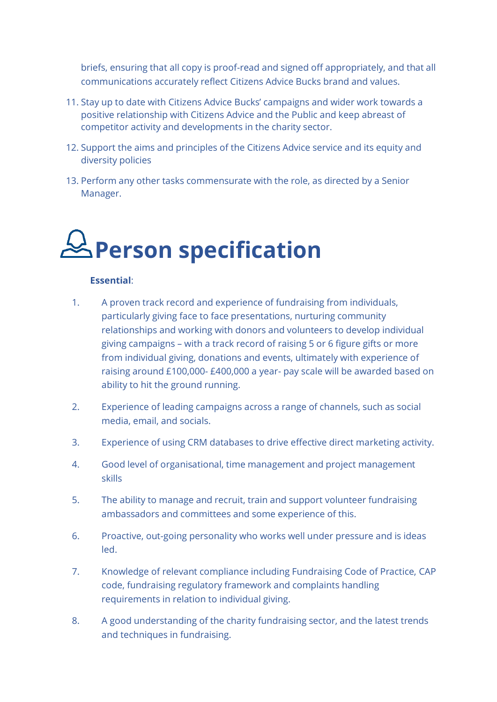briefs, ensuring that all copy is proof-read and signed off appropriately, and that all communications accurately reflect Citizens Advice Bucks brand and values.

- 11. Stay up to date with Citizens Advice Bucks' campaigns and wider work towards a positive relationship with Citizens Advice and the Public and keep abreast of competitor activity and developments in the charity sector.
- 12. Support the aims and principles of the Citizens Advice service and its equity and diversity policies
- 13. Perform any other tasks commensurate with the role, as directed by a Senior Manager.

# **Person specification**

#### **Essential**:

- 1. A proven track record and experience of fundraising from individuals, particularly giving face to face presentations, nurturing community relationships and working with donors and volunteers to develop individual giving campaigns – with a track record of raising 5 or 6 figure gifts or more from individual giving, donations and events, ultimately with experience of raising around £100,000- £400,000 a year- pay scale will be awarded based on ability to hit the ground running.
- 2. Experience of leading campaigns across a range of channels, such as social media, email, and socials.
- 3. Experience of using CRM databases to drive effective direct marketing activity.
- 4. Good level of organisational, time management and project management skills
- 5. The ability to manage and recruit, train and support volunteer fundraising ambassadors and committees and some experience of this.
- 6. Proactive, out-going personality who works well under pressure and is ideas led.
- 7. Knowledge of relevant compliance including Fundraising Code of Practice, CAP code, fundraising regulatory framework and complaints handling requirements in relation to individual giving.
- 8. A good understanding of the charity fundraising sector, and the latest trends and techniques in fundraising.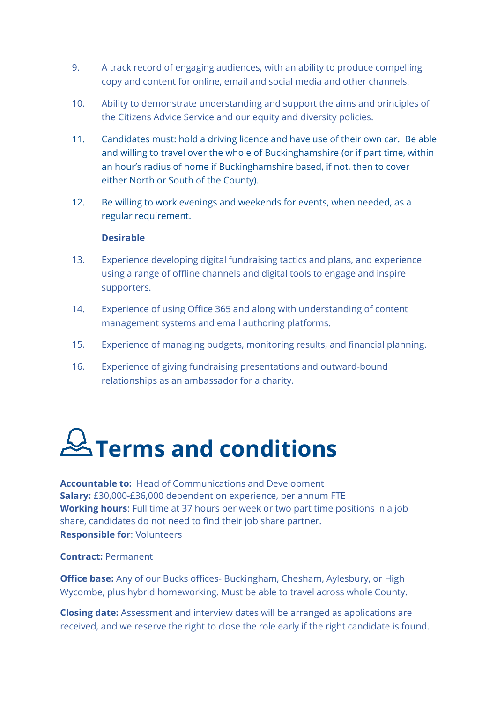- 9. A track record of engaging audiences, with an ability to produce compelling copy and content for online, email and social media and other channels.
- 10. Ability to demonstrate understanding and support the aims and principles of the Citizens Advice Service and our equity and diversity policies.
- 11. Candidates must: hold a driving licence and have use of their own car. Be able and willing to travel over the whole of Buckinghamshire (or if part time, within an hour's radius of home if Buckinghamshire based, if not, then to cover either North or South of the County).
- 12. Be willing to work evenings and weekends for events, when needed, as a regular requirement.

#### **Desirable**

- 13. Experience developing digital fundraising tactics and plans, and experience using a range of offline channels and digital tools to engage and inspire supporters.
- 14. Experience of using Office 365 and along with understanding of content management systems and email authoring platforms.
- 15. Experience of managing budgets, monitoring results, and financial planning.
- 16. Experience of giving fundraising presentations and outward-bound relationships as an ambassador for a charity.

# $\cancel{\cong}$  Terms and conditions

**Accountable to:** Head of Communications and Development **Salary:** £30,000-£36,000 dependent on experience, per annum FTE **Working hours**: Full time at 37 hours per week or two part time positions in a job share, candidates do not need to find their job share partner. **Responsible for**: Volunteers

#### **Contract:** Permanent

**Office base:** Any of our Bucks offices- Buckingham, Chesham, Aylesbury, or High Wycombe, plus hybrid homeworking. Must be able to travel across whole County.

**Closing date:** Assessment and interview dates will be arranged as applications are received, and we reserve the right to close the role early if the right candidate is found.